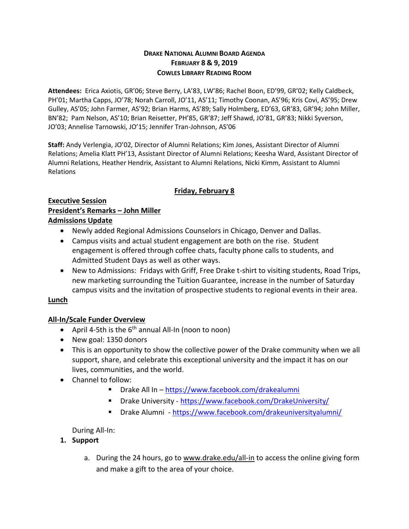#### **DRAKE NATIONAL ALUMNI BOARD AGENDA FEBRUARY 8 & 9, 2019 COWLES LIBRARY READING ROOM**

**Attendees:** Erica Axiotis, GR'06; Steve Berry, LA'83, LW'86; Rachel Boon, ED'99, GR'02; Kelly Caldbeck, PH'01; Martha Capps, JO'78; Norah Carroll, JO'11, AS'11; Timothy Coonan, AS'96; Kris Covi, AS'95; Drew Gulley, AS'05; John Farmer, AS'92; Brian Harms, AS'89; Sally Holmberg, ED'63, GR'83, GR'94; John Miller, BN'82; Pam Nelson, AS'10; Brian Reisetter, PH'85, GR'87; Jeff Shawd, JO'81, GR'83; Nikki Syverson, JO'03; Annelise Tarnowski, JO'15; Jennifer Tran-Johnson, AS'06

**Staff:** Andy Verlengia, JO'02, Director of Alumni Relations; Kim Jones, Assistant Director of Alumni Relations; Amelia Klatt PH'13, Assistant Director of Alumni Relations; Keesha Ward, Assistant Director of Alumni Relations, Heather Hendrix, Assistant to Alumni Relations, Nicki Kimm, Assistant to Alumni Relations

## **Friday, February 8**

#### **Executive Session President's Remarks – John Miller Admissions Update**

- Newly added Regional Admissions Counselors in Chicago, Denver and Dallas.
- Campus visits and actual student engagement are both on the rise. Student engagement is offered through coffee chats, faculty phone calls to students, and Admitted Student Days as well as other ways.
- New to Admissions: Fridays with Griff, Free Drake t-shirt to visiting students, Road Trips, new marketing surrounding the Tuition Guarantee, increase in the number of Saturday campus visits and the invitation of prospective students to regional events in their area.

## **Lunch**

# **All-In/Scale Funder Overview**

- April 4-5th is the  $6<sup>th</sup>$  annual All-In (noon to noon)
- New goal: 1350 donors
- This is an opportunity to show the collective power of the Drake community when we all support, share, and celebrate this exceptional university and the impact it has on our lives, communities, and the world.
- Channel to follow:
	- Drake All In <https://www.facebook.com/drakealumni>
	- Drake University <https://www.facebook.com/DrakeUniversity/>
	- Drake Alumni <https://www.facebook.com/drakeuniversityalumni/>

During All-In:

- **1. Support**
	- a. During the 24 hours, go to [www.drake.edu/all-in](http://www.drake.edu/all-in) to access the online giving form and make a gift to the area of your choice.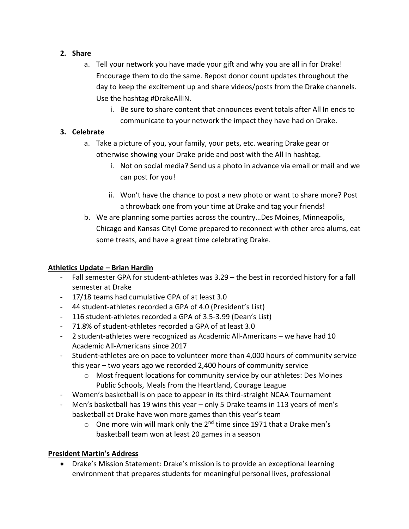## **2. Share**

- a. Tell your network you have made your gift and why you are all in for Drake! Encourage them to do the same. Repost donor count updates throughout the day to keep the excitement up and share videos/posts from the Drake channels. Use the hashtag #DrakeAllIN.
	- i. Be sure to share content that announces event totals after All In ends to communicate to your network the impact they have had on Drake.

# **3. Celebrate**

- a. Take a picture of you, your family, your pets, etc. wearing Drake gear or otherwise showing your Drake pride and post with the All In hashtag.
	- i. Not on social media? Send us a photo in advance via email or mail and we can post for you!
	- ii. Won't have the chance to post a new photo or want to share more? Post a throwback one from your time at Drake and tag your friends!
- b. We are planning some parties across the country…Des Moines, Minneapolis, Chicago and Kansas City! Come prepared to reconnect with other area alums, eat some treats, and have a great time celebrating Drake.

# **Athletics Update – Brian Hardin**

- Fall semester GPA for student-athletes was 3.29 the best in recorded history for a fall semester at Drake
- 17/18 teams had cumulative GPA of at least 3.0
- 44 student-athletes recorded a GPA of 4.0 (President's List)
- 116 student-athletes recorded a GPA of 3.5-3.99 (Dean's List)
- 71.8% of student-athletes recorded a GPA of at least 3.0
- 2 student-athletes were recognized as Academic All-Americans we have had 10 Academic All-Americans since 2017
- Student-athletes are on pace to volunteer more than 4,000 hours of community service this year – two years ago we recorded 2,400 hours of community service
	- $\circ$  Most frequent locations for community service by our athletes: Des Moines Public Schools, Meals from the Heartland, Courage League
- Women's basketball is on pace to appear in its third-straight NCAA Tournament
- Men's basketball has 19 wins this year only 5 Drake teams in 113 years of men's basketball at Drake have won more games than this year's team
	- $\circ$  One more win will mark only the 2<sup>nd</sup> time since 1971 that a Drake men's basketball team won at least 20 games in a season

# **President Martin's Address**

• Drake's Mission Statement: Drake's mission is to provide an exceptional learning environment that prepares students for meaningful personal lives, professional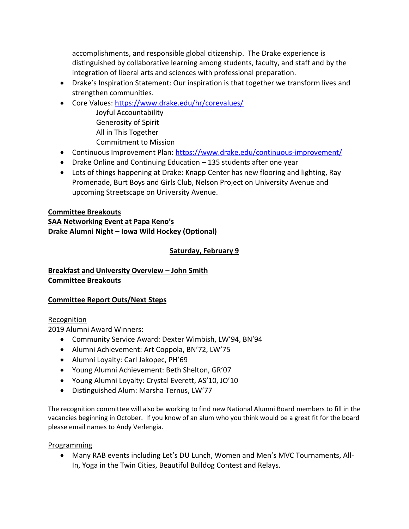accomplishments, and responsible global citizenship. The Drake experience is distinguished by collaborative learning among students, faculty, and staff and by the integration of liberal arts and sciences with professional preparation.

- Drake's Inspiration Statement: Our inspiration is that together we transform lives and strengthen communities.
- Core Values:<https://www.drake.edu/hr/corevalues/>
	- Joyful Accountability Generosity of Spirit All in This Together Commitment to Mission
- Continuous Improvement Plan:<https://www.drake.edu/continuous-improvement/>
- Drake Online and Continuing Education 135 students after one year
- Lots of things happening at Drake: Knapp Center has new flooring and lighting, Ray Promenade, Burt Boys and Girls Club, Nelson Project on University Avenue and upcoming Streetscape on University Avenue.

## **Committee Breakouts SAA Networking Event at Papa Keno's Drake Alumni Night – Iowa Wild Hockey (Optional)**

## **Saturday, February 9**

## **Breakfast and University Overview – John Smith Committee Breakouts**

## **Committee Report Outs/Next Steps**

## **Recognition**

2019 Alumni Award Winners:

- Community Service Award: Dexter Wimbish, LW'94, BN'94
- Alumni Achievement: Art Coppola, BN'72, LW'75
- Alumni Loyalty: Carl Jakopec, PH'69
- Young Alumni Achievement: Beth Shelton, GR'07
- Young Alumni Loyalty: Crystal Everett, AS'10, JO'10
- Distinguished Alum: Marsha Ternus, LW'77

The recognition committee will also be working to find new National Alumni Board members to fill in the vacancies beginning in October. If you know of an alum who you think would be a great fit for the board please email names to Andy Verlengia.

## Programming

• Many RAB events including Let's DU Lunch, Women and Men's MVC Tournaments, All-In, Yoga in the Twin Cities, Beautiful Bulldog Contest and Relays.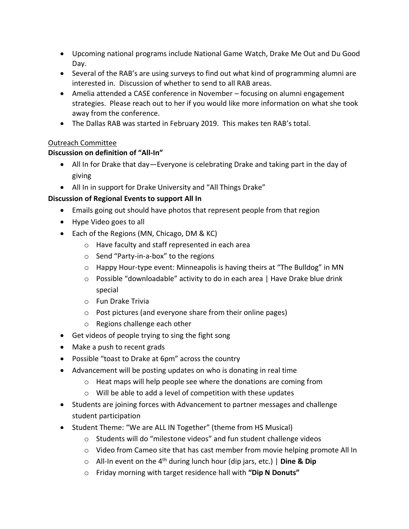- Upcoming national programs include National Game Watch, Drake Me Out and Du Good Day.
- Several of the RAB's are using surveys to find out what kind of programming alumni are interested in. Discussion of whether to send to all RAB areas.
- Amelia attended a CASE conference in November focusing on alumni engagement strategies. Please reach out to her if you would like more information on what she took away from the conference.
- The Dallas RAB was started in February 2019. This makes ten RAB's total.

## Outreach Committee

## **Discussion on definition of "All-In"**

- All In for Drake that day—Everyone is celebrating Drake and taking part in the day of giving
- All In in support for Drake University and "All Things Drake"

## **Discussion of Regional Events to support All In**

- Emails going out should have photos that represent people from that region
- Hype Video goes to all
- Each of the Regions (MN, Chicago, DM & KC)
	- o Have faculty and staff represented in each area
	- o Send "Party-in-a-box" to the regions
	- o Happy Hour-type event: Minneapolis is having theirs at "The Bulldog" in MN
	- o Possible "downloadable" activity to do in each area | Have Drake blue drink special
	- o Fun Drake Trivia
	- o Post pictures (and everyone share from their online pages)
	- o Regions challenge each other
- Get videos of people trying to sing the fight song
- Make a push to recent grads
- Possible "toast to Drake at 6pm" across the country
- Advancement will be posting updates on who is donating in real time
	- o Heat maps will help people see where the donations are coming from
	- o Will be able to add a level of competition with these updates
- Students are joining forces with Advancement to partner messages and challenge student participation
- Student Theme: "We are ALL IN Together" (theme from HS Musical)
	- o Students will do "milestone videos" and fun student challenge videos
	- $\circ$  Video from Cameo site that has cast member from movie helping promote All In
	- o All-In event on the 4th during lunch hour (dip jars, etc.) | **Dine & Dip**
	- o Friday morning with target residence hall with **"Dip N Donuts"**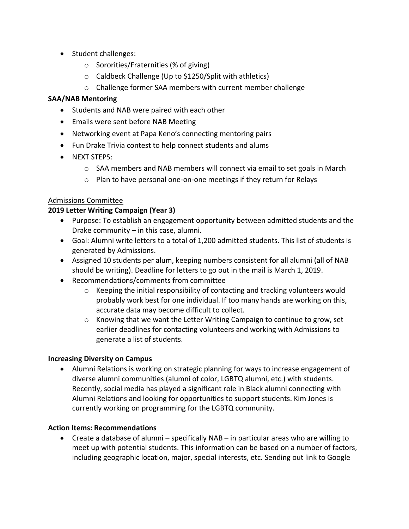- Student challenges:
	- o Sororities/Fraternities (% of giving)
	- o Caldbeck Challenge (Up to \$1250/Split with athletics)
	- o Challenge former SAA members with current member challenge

#### **SAA/NAB Mentoring**

- Students and NAB were paired with each other
- Emails were sent before NAB Meeting
- Networking event at Papa Keno's connecting mentoring pairs
- Fun Drake Trivia contest to help connect students and alums
- NEXT STEPS:
	- $\circ$  SAA members and NAB members will connect via email to set goals in March
	- o Plan to have personal one-on-one meetings if they return for Relays

## Admissions Committee

## **2019 Letter Writing Campaign (Year 3)**

- Purpose: To establish an engagement opportunity between admitted students and the Drake community – in this case, alumni.
- Goal: Alumni write letters to a total of 1,200 admitted students. This list of students is generated by Admissions.
- Assigned 10 students per alum, keeping numbers consistent for all alumni (all of NAB should be writing). Deadline for letters to go out in the mail is March 1, 2019.
- Recommendations/comments from committee
	- $\circ$  Keeping the initial responsibility of contacting and tracking volunteers would probably work best for one individual. If too many hands are working on this, accurate data may become difficult to collect.
	- o Knowing that we want the Letter Writing Campaign to continue to grow, set earlier deadlines for contacting volunteers and working with Admissions to generate a list of students.

## **Increasing Diversity on Campus**

• Alumni Relations is working on strategic planning for ways to increase engagement of diverse alumni communities (alumni of color, LGBTQ alumni, etc.) with students. Recently, social media has played a significant role in Black alumni connecting with Alumni Relations and looking for opportunities to support students. Kim Jones is currently working on programming for the LGBTQ community.

## **Action Items: Recommendations**

• Create a database of alumni – specifically NAB – in particular areas who are willing to meet up with potential students. This information can be based on a number of factors, including geographic location, major, special interests, etc. Sending out link to Google